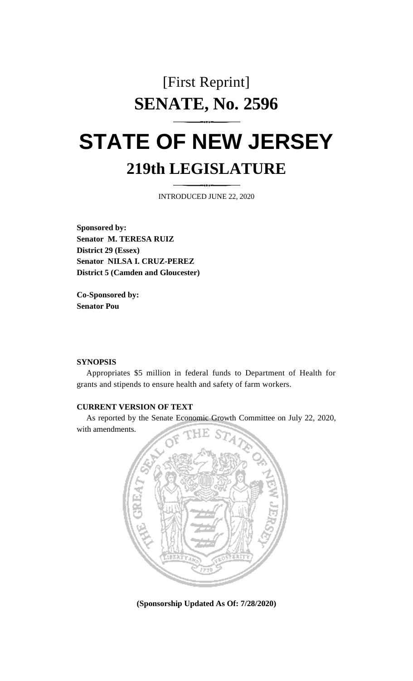## [First Reprint] **SENATE, No. 2596**

## **STATE OF NEW JERSEY 219th LEGISLATURE**

INTRODUCED JUNE 22, 2020

**Sponsored by: Senator M. TERESA RUIZ District 29 (Essex) Senator NILSA I. CRUZ-PEREZ District 5 (Camden and Gloucester)**

**Co-Sponsored by: Senator Pou**

## **SYNOPSIS**

Appropriates \$5 million in federal funds to Department of Health for grants and stipends to ensure health and safety of farm workers.

## **CURRENT VERSION OF TEXT**

As reported by the Senate Economic Growth Committee on July 22, 2020, with amendments.



**(Sponsorship Updated As Of: 7/28/2020)**